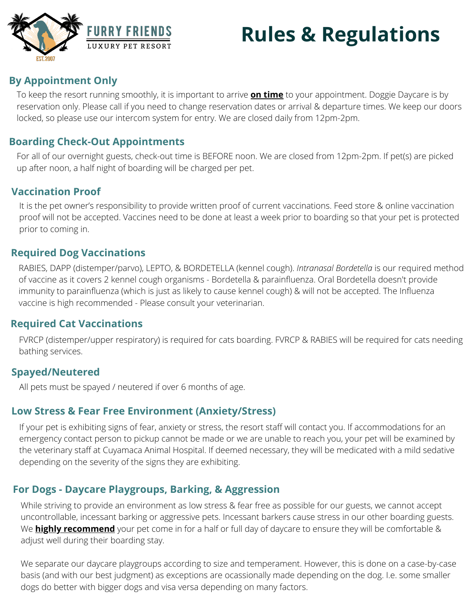# **Rules & Regulations**



# **By Appointment Only**

To keep the resort running smoothly, it is important to arrive **on time** to your appointment. Doggie Daycare is by reservation only. Please call if you need to change reservation dates or arrival & departure times. We keep our doors locked, so please use our intercom system for entry. We are closed daily from 12pm-2pm.

# **Boarding Check-Out Appointments**

For all of our overnight guests, check-out time is BEFORE noon. We are closed from 12pm-2pm. If pet(s) are picked up after noon, a half night of boarding will be charged per pet.

## **Vaccination Proof**

It is the pet owner's responsibility to provide written proof of current vaccinations. Feed store & online vaccination proof will not be accepted. Vaccines need to be done at least a week prior to boarding so that your pet is protected prior to coming in.

## **Required Dog Vaccinations**

RABIES, DAPP (distemper/parvo), LEPTO, & BORDETELLA (kennel cough). *Intranasal Bordetella* is our required method of vaccine as it covers 2 kennel cough organisms - Bordetella & parainfluenza. Oral Bordetella doesn't provide immunity to parainfluenza (which is just as likely to cause kennel cough) & will not be accepted. The Influenza vaccine is high recommended - Please consult your veterinarian.

#### **Required Cat Vaccinations**

FVRCP (distemper/upper respiratory) is required for cats boarding. FVRCP & RABIES will be required for cats needing bathing services.

#### **Spayed/Neutered**

All pets must be spayed / neutered if over 6 months of age.

#### **Low Stress & Fear Free Environment (Anxiety/Stress)**

If your pet is exhibiting signs of fear, anxiety or stress, the resort staff will contact you. If accommodations for an emergency contact person to pickup cannot be made or we are unable to reach you, your pet will be examined by the veterinary staff at Cuyamaca Animal Hospital. If deemed necessary, they will be medicated with a mild sedative depending on the severity of the signs they are exhibiting.

## **For Dogs - Daycare Playgroups, Barking, & Aggression**

While striving to provide an environment as low stress & fear free as possible for our guests, we cannot accept uncontrollable, incessant barking or aggressive pets. Incessant barkers cause stress in our other boarding guests. We **highly recommend** your pet come in for a half or full day of daycare to ensure they will be comfortable & adjust well during their boarding stay.

We separate our daycare playgroups according to size and temperament. However, this is done on a case-by-case basis (and with our best judgment) as exceptions are ocassionally made depending on the dog. I.e. some smaller dogs do better with bigger dogs and visa versa depending on many factors.